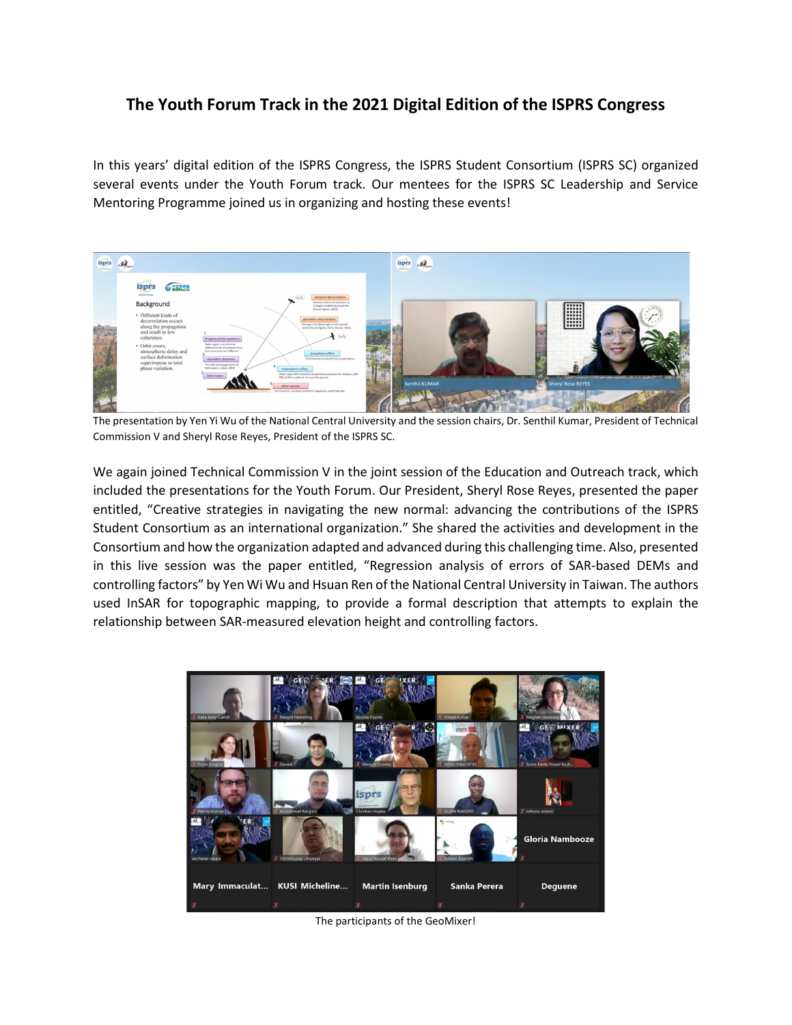## **The Youth Forum Track in the 2021 Digital Edition of the ISPRS Congress**

In this years' digital edition of the ISPRS Congress, the ISPRS Student Consortium (ISPRS SC) organized several events under the Youth Forum track. Our mentees for the ISPRS SC Leadership and Service Mentoring Programme joined us in organizing and hosting these events!



The presentation by Yen Yi Wu of the National Central University and the session chairs, Dr. Senthil Kumar, President of Technical Commission V and Sheryl Rose Reyes, President of the ISPRS SC.

We again joined Technical Commission V in the joint session of the Education and Outreach track, which included the presentations for the Youth Forum. Our President, Sheryl Rose Reyes, presented the paper entitled, "Creative strategies in navigating the new normal: advancing the contributions of the ISPRS Student Consortium as an international organization." She shared the activities and development in the Consortium and how the organization adapted and advanced during this challenging time. Also, presented in this live session was the paper entitled, "Regression analysis of errors of SAR-based DEMs and controlling factors" by Yen Wi Wu and Hsuan Ren of the National Central University in Taiwan. The authors used InSAR for topographic mapping, to provide a formal description that attempts to explain the relationship between SAR-measured elevation height and controlling factors.



The participants of the GeoMixer!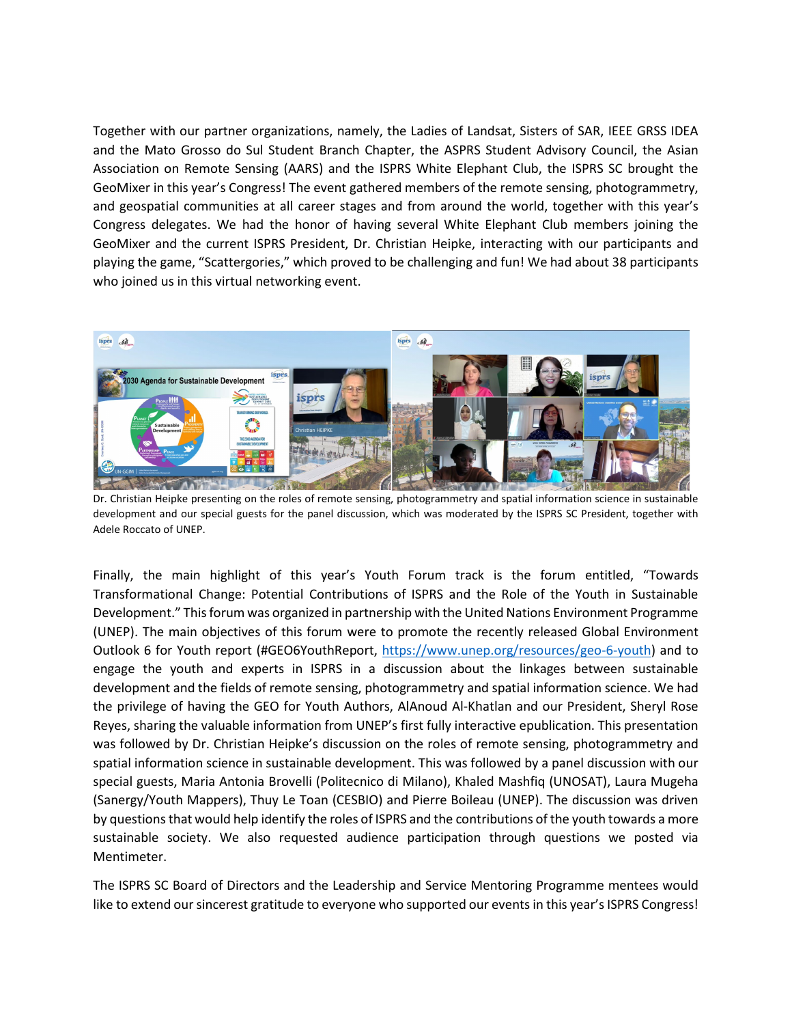Together with our partner organizations, namely, the Ladies of Landsat, Sisters of SAR, IEEE GRSS IDEA and the Mato Grosso do Sul Student Branch Chapter, the ASPRS Student Advisory Council, the Asian Association on Remote Sensing (AARS) and the ISPRS White Elephant Club, the ISPRS SC brought the GeoMixer in this year's Congress! The event gathered members of the remote sensing, photogrammetry, and geospatial communities at all career stages and from around the world, together with this year's Congress delegates. We had the honor of having several White Elephant Club members joining the GeoMixer and the current ISPRS President, Dr. Christian Heipke, interacting with our participants and playing the game, "Scattergories," which proved to be challenging and fun! We had about 38 participants who joined us in this virtual networking event.



Dr. Christian Heipke presenting on the roles of remote sensing, photogrammetry and spatial information science in sustainable development and our special guests for the panel discussion, which was moderated by the ISPRS SC President, together with Adele Roccato of UNEP.

Finally, the main highlight of this year's Youth Forum track is the forum entitled, "Towards Transformational Change: Potential Contributions of ISPRS and the Role of the Youth in Sustainable Development." This forum was organized in partnership with the United Nations Environment Programme (UNEP). The main objectives of this forum were to promote the recently released Global Environment Outlook 6 for Youth report (#GEO6YouthReport, [https://www.unep.org/resources/geo-6-youth\)](https://www.unep.org/resources/geo-6-youth) and to engage the youth and experts in ISPRS in a discussion about the linkages between sustainable development and the fields of remote sensing, photogrammetry and spatial information science. We had the privilege of having the GEO for Youth Authors, AlAnoud Al-Khatlan and our President, Sheryl Rose Reyes, sharing the valuable information from UNEP's first fully interactive epublication. This presentation was followed by Dr. Christian Heipke's discussion on the roles of remote sensing, photogrammetry and spatial information science in sustainable development. This was followed by a panel discussion with our special guests, Maria Antonia Brovelli (Politecnico di Milano), Khaled Mashfiq (UNOSAT), Laura Mugeha (Sanergy/Youth Mappers), Thuy Le Toan (CESBIO) and Pierre Boileau (UNEP). The discussion was driven by questions that would help identify the roles of ISPRS and the contributions of the youth towards a more sustainable society. We also requested audience participation through questions we posted via Mentimeter.

The ISPRS SC Board of Directors and the Leadership and Service Mentoring Programme mentees would like to extend our sincerest gratitude to everyone who supported our events in this year's ISPRS Congress!